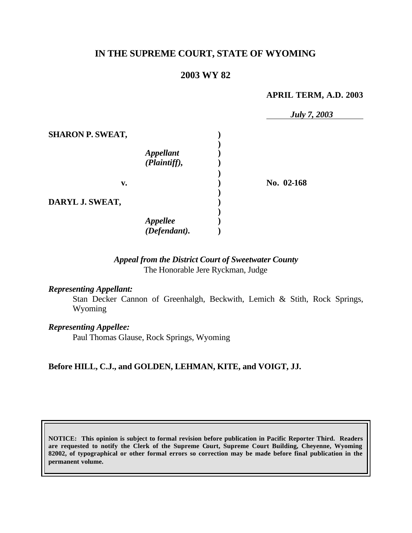# **IN THE SUPREME COURT, STATE OF WYOMING**

## **2003 WY 82**

#### **APRIL TERM, A.D. 2003**

|                         |                          | <b>July 7, 2003</b> |
|-------------------------|--------------------------|---------------------|
| <b>SHARON P. SWEAT,</b> |                          |                     |
|                         |                          |                     |
|                         | <b>Appellant</b>         |                     |
|                         | (Plaintiff),             |                     |
|                         |                          |                     |
| v.                      |                          | No. 02-168          |
|                         |                          |                     |
| DARYL J. SWEAT,         |                          |                     |
|                         |                          |                     |
|                         |                          |                     |
|                         | Appellee<br>(Defendant). |                     |

## *Appeal from the District Court of Sweetwater County* The Honorable Jere Ryckman, Judge

#### *Representing Appellant:*

Stan Decker Cannon of Greenhalgh, Beckwith, Lemich & Stith, Rock Springs, Wyoming

#### *Representing Appellee:*

Paul Thomas Glause, Rock Springs, Wyoming

## **Before HILL, C.J., and GOLDEN, LEHMAN, KITE, and VOIGT, JJ.**

**NOTICE: This opinion is subject to formal revision before publication in Pacific Reporter Third. Readers are requested to notify the Clerk of the Supreme Court, Supreme Court Building, Cheyenne, Wyoming 82002, of typographical or other formal errors so correction may be made before final publication in the permanent volume.**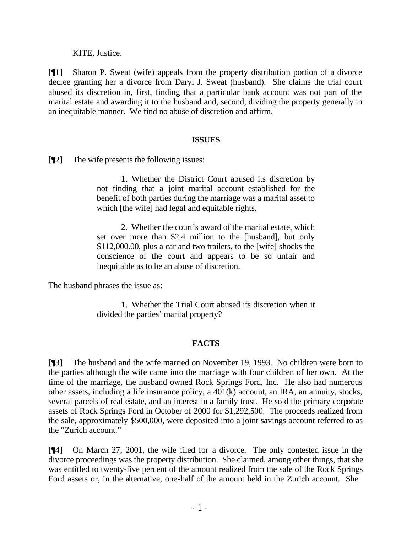KITE, Justice.

[¶1] Sharon P. Sweat (wife) appeals from the property distribution portion of a divorce decree granting her a divorce from Daryl J. Sweat (husband). She claims the trial court abused its discretion in, first, finding that a particular bank account was not part of the marital estate and awarding it to the husband and, second, dividing the property generally in an inequitable manner. We find no abuse of discretion and affirm.

## **ISSUES**

[¶2] The wife presents the following issues:

1. Whether the District Court abused its discretion by not finding that a joint marital account established for the benefit of both parties during the marriage was a marital asset to which [the wife] had legal and equitable rights.

2. Whether the court's award of the marital estate, which set over more than \$2.4 million to the [husband], but only \$112,000.00, plus a car and two trailers, to the [wife] shocks the conscience of the court and appears to be so unfair and inequitable as to be an abuse of discretion.

The husband phrases the issue as:

1. Whether the Trial Court abused its discretion when it divided the parties' marital property?

# **FACTS**

[¶3] The husband and the wife married on November 19, 1993. No children were born to the parties although the wife came into the marriage with four children of her own. At the time of the marriage, the husband owned Rock Springs Ford, Inc. He also had numerous other assets, including a life insurance policy, a 401(k) account, an IRA, an annuity, stocks, several parcels of real estate, and an interest in a family trust. He sold the primary corporate assets of Rock Springs Ford in October of 2000 for \$1,292,500. The proceeds realized from the sale, approximately \$500,000, were deposited into a joint savings account referred to as the "Zurich account."

[¶4] On March 27, 2001, the wife filed for a divorce. The only contested issue in the divorce proceedings was the property distribution. She claimed, among other things, that she was entitled to twenty-five percent of the amount realized from the sale of the Rock Springs Ford assets or, in the alternative, one-half of the amount held in the Zurich account. She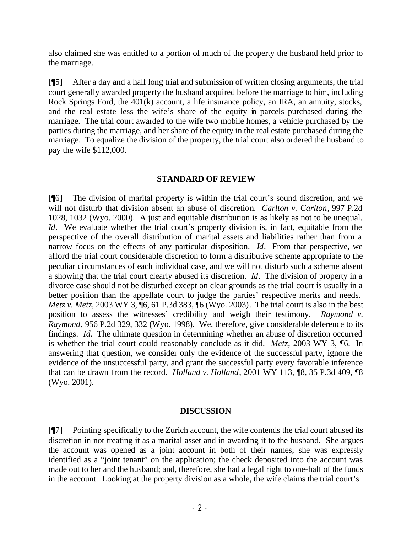also claimed she was entitled to a portion of much of the property the husband held prior to the marriage.

[¶5] After a day and a half long trial and submission of written closing arguments, the trial court generally awarded property the husband acquired before the marriage to him, including Rock Springs Ford, the 401(k) account, a life insurance policy, an IRA, an annuity, stocks, and the real estate less the wife's share of the equity in parcels purchased during the marriage. The trial court awarded to the wife two mobile homes, a vehicle purchased by the parties during the marriage, and her share of the equity in the real estate purchased during the marriage. To equalize the division of the property, the trial court also ordered the husband to pay the wife \$112,000.

## **STANDARD OF REVIEW**

[¶6] The division of marital property is within the trial court's sound discretion, and we will not disturb that division absent an abuse of discretion. *Carlton v. Carlton*, 997 P.2d 1028, 1032 (Wyo. 2000). A just and equitable distribution is as likely as not to be unequal. *Id*. We evaluate whether the trial court's property division is, in fact, equitable from the perspective of the overall distribution of marital assets and liabilities rather than from a narrow focus on the effects of any particular disposition. *Id*. From that perspective, we afford the trial court considerable discretion to form a distributive scheme appropriate to the peculiar circumstances of each individual case, and we will not disturb such a scheme absent a showing that the trial court clearly abused its discretion. *Id*. The division of property in a divorce case should not be disturbed except on clear grounds as the trial court is usually in a better position than the appellate court to judge the parties' respective merits and needs. *Metz v. Metz*, 2003 WY 3, 16, 61 P.3d 383, 16 (Wyo. 2003). The trial court is also in the best position to assess the witnesses' credibility and weigh their testimony. *Raymond v. Raymond*, 956 P.2d 329, 332 (Wyo. 1998). We, therefore, give considerable deference to its findings. *Id.* The ultimate question in determining whether an abuse of discretion occurred is whether the trial court could reasonably conclude as it did. *Metz*, 2003 WY 3, ¶6. In answering that question, we consider only the evidence of the successful party, ignore the evidence of the unsuccessful party, and grant the successful party every favorable inference that can be drawn from the record. *Holland v. Holland*, 2001 WY 113, ¶8, 35 P.3d 409, ¶8 (Wyo. 2001).

#### **DISCUSSION**

[¶7] Pointing specifically to the Zurich account, the wife contends the trial court abused its discretion in not treating it as a marital asset and in awarding it to the husband. She argues the account was opened as a joint account in both of their names; she was expressly identified as a "joint tenant" on the application; the check deposited into the account was made out to her and the husband; and, therefore, she had a legal right to one-half of the funds in the account. Looking at the property division as a whole, the wife claims the trial court's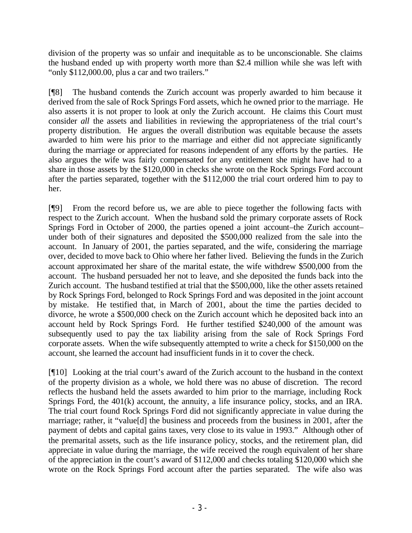division of the property was so unfair and inequitable as to be unconscionable. She claims the husband ended up with property worth more than \$2.4 million while she was left with "only \$112,000.00, plus a car and two trailers."

[¶8] The husband contends the Zurich account was properly awarded to him because it derived from the sale of Rock Springs Ford assets, which he owned prior to the marriage. He also asserts it is not proper to look at only the Zurich account. He claims this Court must consider *all* the assets and liabilities in reviewing the appropriateness of the trial court's property distribution. He argues the overall distribution was equitable because the assets awarded to him were his prior to the marriage and either did not appreciate significantly during the marriage or appreciated for reasons independent of any efforts by the parties. He also argues the wife was fairly compensated for any entitlement she might have had to a share in those assets by the \$120,000 in checks she wrote on the Rock Springs Ford account after the parties separated, together with the \$112,000 the trial court ordered him to pay to her.

[¶9] From the record before us, we are able to piece together the following facts with respect to the Zurich account. When the husband sold the primary corporate assets of Rock Springs Ford in October of 2000, the parties opened a joint account–the Zurich account– under both of their signatures and deposited the \$500,000 realized from the sale into the account. In January of 2001, the parties separated, and the wife, considering the marriage over, decided to move back to Ohio where her father lived. Believing the funds in the Zurich account approximated her share of the marital estate, the wife withdrew \$500,000 from the account. The husband persuaded her not to leave, and she deposited the funds back into the Zurich account. The husband testified at trial that the \$500,000, like the other assets retained by Rock Springs Ford, belonged to Rock Springs Ford and was deposited in the joint account by mistake. He testified that, in March of 2001, about the time the parties decided to divorce, he wrote a \$500,000 check on the Zurich account which he deposited back into an account held by Rock Springs Ford. He further testified \$240,000 of the amount was subsequently used to pay the tax liability arising from the sale of Rock Springs Ford corporate assets. When the wife subsequently attempted to write a check for \$150,000 on the account, she learned the account had insufficient funds in it to cover the check.

[¶10] Looking at the trial court's award of the Zurich account to the husband in the context of the property division as a whole, we hold there was no abuse of discretion. The record reflects the husband held the assets awarded to him prior to the marriage, including Rock Springs Ford, the 401(k) account, the annuity, a life insurance policy, stocks, and an IRA. The trial court found Rock Springs Ford did not significantly appreciate in value during the marriage; rather, it "value[d] the business and proceeds from the business in 2001, after the payment of debts and capital gains taxes, very close to its value in 1993." Although other of the premarital assets, such as the life insurance policy, stocks, and the retirement plan, did appreciate in value during the marriage, the wife received the rough equivalent of her share of the appreciation in the court's award of \$112,000 and checks totaling \$120,000 which she wrote on the Rock Springs Ford account after the parties separated. The wife also was